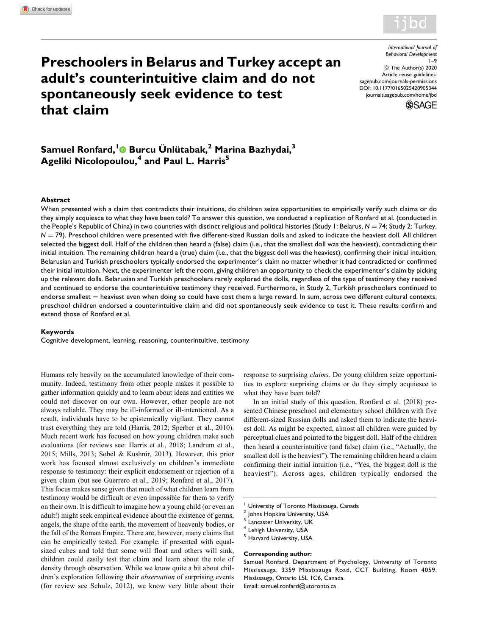

# Preschoolers in Belarus and Turkey accept an adult's counterintuitive claim and do not spontaneously seek evidence to test that claim

International Journal of Behavioral Development 1–9 © The Author(s) 2020 Article reuse guidelines: [sagepub.com/journals-permissions](https://sagepub.com/journals-permissions) [DOI: 10.1177/0165025420905344](https://doi.org/10.1177/0165025420905344) [journals.sagepub.com/home/jbd](http://journals.sagepub.com/home/jbd)



# Samuel Ronfard,<sup>[1](https://orcid.org/0000-0001-5152-0514)</sup> Burcu Ünlütabak,<sup>2</sup> Marina Bazhydai,<sup>3</sup> Ageliki Nicolopoulou,<sup>4</sup> and Paul L. Harris<sup>5</sup>

#### **Abstract**

When presented with a claim that contradicts their intuitions, do children seize opportunities to empirically verify such claims or do they simply acquiesce to what they have been told? To answer this question, we conducted a replication of Ronfard et al. (conducted in the People's Republic of China) in two countries with distinct religious and political histories (Study 1: Belarus,  $N = 74$ ; Study 2: Turkey,  $N = 79$ ). Preschool children were presented with five different-sized Russian dolls and asked to indicate the heaviest doll. All children selected the biggest doll. Half of the children then heard a (false) claim (i.e., that the smallest doll was the heaviest), contradicting their initial intuition. The remaining children heard a (true) claim (i.e., that the biggest doll was the heaviest), confirming their initial intuition. Belarusian and Turkish preschoolers typically endorsed the experimenter's claim no matter whether it had contradicted or confirmed their initial intuition. Next, the experimenter left the room, giving children an opportunity to check the experimenter's claim by picking up the relevant dolls. Belarusian and Turkish preschoolers rarely explored the dolls, regardless of the type of testimony they received and continued to endorse the counterintuitive testimony they received. Furthermore, in Study 2, Turkish preschoolers continued to endorse smallest  $=$  heaviest even when doing so could have cost them a large reward. In sum, across two different cultural contexts, preschool children endorsed a counterintuitive claim and did not spontaneously seek evidence to test it. These results confirm and extend those of Ronfard et al.

#### Keywords

Cognitive development, learning, reasoning, counterintuitive, testimony

Humans rely heavily on the accumulated knowledge of their community. Indeed, testimony from other people makes it possible to gather information quickly and to learn about ideas and entities we could not discover on our own. However, other people are not always reliable. They may be ill-informed or ill-intentioned. As a result, individuals have to be epistemically vigilant. They cannot trust everything they are told (Harris, 2012; Sperber et al., 2010). Much recent work has focused on how young children make such evaluations (for reviews see: Harris et al., 2018; Landrum et al., 2015; Mills, 2013; Sobel & Kushnir, 2013). However, this prior work has focused almost exclusively on children's immediate response to testimony: their explicit endorsement or rejection of a given claim (but see Guerrero et al., 2019; Ronfard et al., 2017). This focus makes sense given that much of what children learn from testimony would be difficult or even impossible for them to verify on their own. It is difficult to imagine how a young child (or even an adult!) might seek empirical evidence about the existence of germs, angels, the shape of the earth, the movement of heavenly bodies, or the fall of the Roman Empire. There are, however, many claims that can be empirically tested. For example, if presented with equalsized cubes and told that some will float and others will sink, children could easily test that claim and learn about the role of density through observation. While we know quite a bit about children's exploration following their *observation* of surprising events (for review see Schulz, 2012), we know very little about their response to surprising claims. Do young children seize opportunities to explore surprising claims or do they simply acquiesce to what they have been told?

In an initial study of this question, Ronfard et al. (2018) presented Chinese preschool and elementary school children with five different-sized Russian dolls and asked them to indicate the heaviest doll. As might be expected, almost all children were guided by perceptual clues and pointed to the biggest doll. Half of the children then heard a counterintuitive (and false) claim (i.e., "Actually, the smallest doll is the heaviest"). The remaining children heard a claim confirming their initial intuition (i.e., "Yes, the biggest doll is the heaviest"). Across ages, children typically endorsed the

<sup>5</sup> Harvard University, USA

#### Corresponding author:

Samuel Ronfard, Department of Psychology, University of Toronto Mississauga, 3359 Mississauga Road, CCT Building, Room 4059, Mississauga, Ontario L5L 1C6, Canada. Email: [samuel.ronfard@utoronto.ca](mailto:samuel.ronfard@utoronto.ca)

<sup>&</sup>lt;sup>1</sup> University of Toronto Mississauga, Canada

<sup>&</sup>lt;sup>2</sup> Johns Hopkins University, USA

Lancaster University, UK

<sup>4</sup> Lehigh University, USA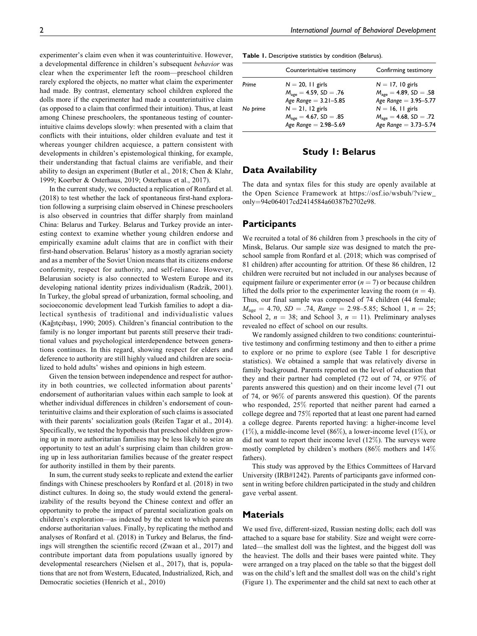experimenter's claim even when it was counterintuitive. However, a developmental difference in children's subsequent behavior was clear when the experimenter left the room—preschool children rarely explored the objects, no matter what claim the experimenter had made. By contrast, elementary school children explored the dolls more if the experimenter had made a counterintuitive claim (as opposed to a claim that confirmed their intuition). Thus, at least among Chinese preschoolers, the spontaneous testing of counterintuitive claims develops slowly: when presented with a claim that conflicts with their intuitions, older children evaluate and test it whereas younger children acquiesce, a pattern consistent with developments in children's epistemological thinking, for example, their understanding that factual claims are verifiable, and their

ability to design an experiment (Butler et al., 2018; Chen & Klahr,

1999; Koerber & Osterhaus, 2019; Osterhaus et al., 2017). In the current study, we conducted a replication of Ronfard et al. (2018) to test whether the lack of spontaneous first-hand exploration following a surprising claim observed in Chinese preschoolers is also observed in countries that differ sharply from mainland China: Belarus and Turkey. Belarus and Turkey provide an interesting context to examine whether young children endorse and empirically examine adult claims that are in conflict with their first-hand observation. Belarus' history as a mostly agrarian society and as a member of the Soviet Union means that its citizens endorse conformity, respect for authority, and self-reliance. However, Belarusian society is also connected to Western Europe and its developing national identity prizes individualism (Radzik, 2001). In Turkey, the global spread of urbanization, formal schooling, and socioeconomic development lead Turkish families to adopt a dialectical synthesis of traditional and individualistic values (Kağıtçıbaşı, 1990; 2005). Children's financial contribution to the family is no longer important but parents still preserve their traditional values and psychological interdependence between generations continues. In this regard, showing respect for elders and deference to authority are still highly valued and children are socialized to hold adults' wishes and opinions in high esteem.

Given the tension between independence and respect for authority in both countries, we collected information about parents' endorsement of authoritarian values within each sample to look at whether individual differences in children's endorsement of counterintuitive claims and their exploration of such claims is associated with their parents' socialization goals (Reifen Tagar et al., 2014). Specifically, we tested the hypothesis that preschool children growing up in more authoritarian families may be less likely to seize an opportunity to test an adult's surprising claim than children growing up in less authoritarian families because of the greater respect for authority instilled in them by their parents.

In sum, the current study seeks to replicate and extend the earlier findings with Chinese preschoolers by Ronfard et al. (2018) in two distinct cultures. In doing so, the study would extend the generalizability of the results beyond the Chinese context and offer an opportunity to probe the impact of parental socialization goals on children's exploration—as indexed by the extent to which parents endorse authoritarian values. Finally, by replicating the method and analyses of Ronfard et al. (2018) in Turkey and Belarus, the findings will strengthen the scientific record (Zwaan et al., 2017) and contribute important data from populations usually ignored by developmental researchers (Nielsen et al., 2017), that is, populations that are not from Western, Educated, Industrialized, Rich, and Democratic societies (Henrich et al., 2010)

Table 1. Descriptive statistics by condition (Belarus).

|          | Counterintuitive testimony         | Confirming testimony               |
|----------|------------------------------------|------------------------------------|
| Prime    | $N = 20$ , 11 girls                | $N = 17$ , 10 girls                |
|          | $M_{\text{age}} = 4.59, SD = .76$  | $M_{\text{age}} = 4.89, SD = .58$  |
|          | Age Range = $3.21 - 5.85$          | Age Range = $3.95 - 5.77$          |
| No prime | $N = 21$ , 12 girls                | $N = 16$ , 11 girls                |
|          | $M_{\text{age}} = 4.67$ , SD = .85 | $M_{\text{age}} = 4.68$ , SD = .72 |
|          | Age Range = $2.98 - 5.69$          | Age Range = $3.73 - 5.74$          |

### Study 1: Belarus

### Data Availability

The data and syntax files for this study are openly available at the Open Science Framework at [https://osf.io/wsbuh/?view\\_](https://osf.io/wsbuh/?view_only=94e064017cd2414584a60387b2702e98) [only](https://osf.io/wsbuh/?view_only=94e064017cd2414584a60387b2702e98)¼[94e064017cd2414584a60387b2702e98](https://osf.io/wsbuh/?view_only=94e064017cd2414584a60387b2702e98).

#### **Participants**

We recruited a total of 86 children from 3 preschools in the city of Minsk, Belarus. Our sample size was designed to match the preschool sample from Ronfard et al. (2018; which was comprised of 81 children) after accounting for attrition. Of these 86 children, 12 children were recruited but not included in our analyses because of equipment failure or experimenter error  $(n = 7)$  or because children lifted the dolls prior to the experimenter leaving the room  $(n = 4)$ . Thus, our final sample was composed of 74 children (44 female;  $M_{\text{age}} = 4.70$ ,  $SD = .74$ , Range = 2.98–5.85; School 1,  $n = 25$ ; School 2,  $n = 38$ ; and School 3,  $n = 11$ ). Preliminary analyses revealed no effect of school on our results.

We randomly assigned children to two conditions: counterintuitive testimony and confirming testimony and then to either a prime to explore or no prime to explore (see Table 1 for descriptive statistics). We obtained a sample that was relatively diverse in family background. Parents reported on the level of education that they and their partner had completed (72 out of 74, or 97% of parents answered this question) and on their income level (71 out of 74, or 96% of parents answered this question). Of the parents who responded, 25% reported that neither parent had earned a college degree and 75% reported that at least one parent had earned a college degree. Parents reported having: a higher-income level (1%), a middle-income level (86%), a lower-income level (1%), or did not want to report their income level (12%). The surveys were mostly completed by children's mothers (86% mothers and 14% fathers).

This study was approved by the Ethics Committees of Harvard University (IRB#1242). Parents of participants gave informed consent in writing before children participated in the study and children gave verbal assent.

### **Materials**

We used five, different-sized, Russian nesting dolls; each doll was attached to a square base for stability. Size and weight were correlated—the smallest doll was the lightest, and the biggest doll was the heaviest. The dolls and their bases were painted white. They were arranged on a tray placed on the table so that the biggest doll was on the child's left and the smallest doll was on the child's right (Figure 1). The experimenter and the child sat next to each other at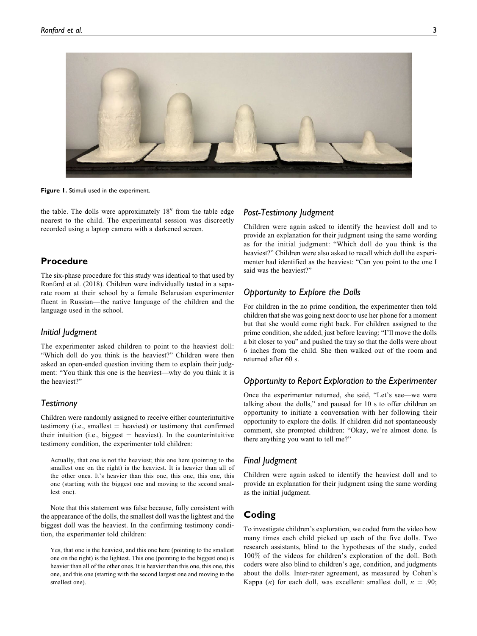

Figure 1. Stimuli used in the experiment.

the table. The dolls were approximately  $18<sup>′′</sup>$  from the table edge nearest to the child. The experimental session was discreetly recorded using a laptop camera with a darkened screen.

# Procedure

The six-phase procedure for this study was identical to that used by Ronfard et al. (2018). Children were individually tested in a separate room at their school by a female Belarusian experimenter fluent in Russian—the native language of the children and the language used in the school.

#### Initial Judgment

The experimenter asked children to point to the heaviest doll: "Which doll do you think is the heaviest?" Children were then asked an open-ended question inviting them to explain their judgment: "You think this one is the heaviest—why do you think it is the heaviest?"

#### **Testimony**

Children were randomly assigned to receive either counterintuitive testimony (i.e., smallest  $=$  heaviest) or testimony that confirmed their intuition (i.e., biggest  $=$  heaviest). In the counterintuitive testimony condition, the experimenter told children:

Actually, that one is not the heaviest; this one here (pointing to the smallest one on the right) is the heaviest. It is heavier than all of the other ones. It's heavier than this one, this one, this one, this one (starting with the biggest one and moving to the second smallest one).

Note that this statement was false because, fully consistent with the appearance of the dolls, the smallest doll was the lightest and the biggest doll was the heaviest. In the confirming testimony condition, the experimenter told children:

Yes, that one is the heaviest, and this one here (pointing to the smallest one on the right) is the lightest. This one (pointing to the biggest one) is heavier than all of the other ones. It is heavier than this one, this one, this one, and this one (starting with the second largest one and moving to the smallest one).

# Post-Testimony Judgment

Children were again asked to identify the heaviest doll and to provide an explanation for their judgment using the same wording as for the initial judgment: "Which doll do you think is the heaviest?" Children were also asked to recall which doll the experimenter had identified as the heaviest: "Can you point to the one I said was the heaviest?"

# Opportunity to Explore the Dolls

For children in the no prime condition, the experimenter then told children that she was going next door to use her phone for a moment but that she would come right back. For children assigned to the prime condition, she added, just before leaving: "I'll move the dolls a bit closer to you" and pushed the tray so that the dolls were about 6 inches from the child. She then walked out of the room and returned after 60 s.

# Opportunity to Report Exploration to the Experimenter

Once the experimenter returned, she said, "Let's see—we were talking about the dolls," and paused for 10 s to offer children an opportunity to initiate a conversation with her following their opportunity to explore the dolls. If children did not spontaneously comment, she prompted children: "Okay, we're almost done. Is there anything you want to tell me?"

#### Final Judgment

Children were again asked to identify the heaviest doll and to provide an explanation for their judgment using the same wording as the initial judgment.

# Coding

To investigate children's exploration, we coded from the video how many times each child picked up each of the five dolls. Two research assistants, blind to the hypotheses of the study, coded 100% of the videos for children's exploration of the doll. Both coders were also blind to children's age, condition, and judgments about the dolls. Inter-rater agreement, as measured by Cohen's Kappa ( $\kappa$ ) for each doll, was excellent: smallest doll,  $\kappa = .90$ ;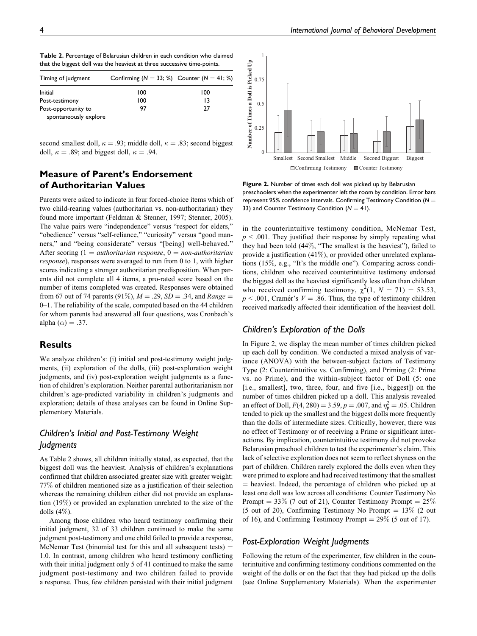| Timing of judgment                           | Confirming ( $N = 33$ ; %) Counter ( $N = 41$ ; %) |     |
|----------------------------------------------|----------------------------------------------------|-----|
| Initial                                      | 100                                                | 100 |
| Post-testimony                               | 100                                                | 13  |
| Post-opportunity to<br>spontaneously explore | 97                                                 | 27  |

Table 2. Percentage of Belarusian children in each condition who claimed that the biggest doll was the heaviest at three successive time-points.

second smallest doll,  $\kappa = .93$ ; middle doll,  $\kappa = .83$ ; second biggest doll,  $\kappa = .89$ ; and biggest doll,  $\kappa = .94$ .

# Measure of Parent's Endorsement of Authoritarian Values

Parents were asked to indicate in four forced-choice items which of two child-rearing values (authoritarian vs. non-authoritarian) they found more important (Feldman & Stenner, 1997; Stenner, 2005). The value pairs were "independence" versus "respect for elders," "obedience" versus "self-reliance," "curiosity" versus "good manners," and "being considerate" versus "[being] well-behaved." After scoring  $(1 = \text{authoritarian response}, 0 = \text{non-authorizontal}$ response), responses were averaged to run from 0 to 1, with higher scores indicating a stronger authoritarian predisposition. When parents did not complete all 4 items, a pro-rated score based on the number of items completed was created. Responses were obtained from 67 out of 74 parents (91%),  $M = .29$ ,  $SD = .34$ , and Range = 0–1. The reliability of the scale, computed based on the 44 children for whom parents had answered all four questions, was Cronbach's alpha  $(\alpha) = .37$ .

### **Results**

We analyze children's: (i) initial and post-testimony weight judgments, (ii) exploration of the dolls, (iii) post-exploration weight judgments, and (iv) post-exploration weight judgments as a function of children's exploration. Neither parental authoritarianism nor children's age-predicted variability in children's judgments and exploration; details of these analyses can be found in Online Supplementary Materials.

# Children's Initial and Post-Testimony Weight Judgments

As Table 2 shows, all children initially stated, as expected, that the biggest doll was the heaviest. Analysis of children's explanations confirmed that children associated greater size with greater weight: 77% of children mentioned size as a justification of their selection whereas the remaining children either did not provide an explanation (19%) or provided an explanation unrelated to the size of the dolls  $(4\%)$ .

Among those children who heard testimony confirming their initial judgment, 32 of 33 children continued to make the same judgment post-testimony and one child failed to provide a response, McNemar Test (binomial test for this and all subsequent tests)  $=$ 1.0. In contrast, among children who heard testimony conflicting with their initial judgment only 5 of 41 continued to make the same judgment post-testimony and two children failed to provide a response. Thus, few children persisted with their initial judgment



Figure 2. Number of times each doll was picked up by Belarusian preschoolers when the experimenter left the room by condition. Error bars represent 95% confidence intervals. Confirming Testimony Condition ( $N =$ 33) and Counter Testimony Condition ( $N = 41$ ).

in the counterintuitive testimony condition, McNemar Test,  $p < .001$ . They justified their response by simply repeating what they had been told (44%, "The smallest is the heaviest"), failed to provide a justification  $(41\%)$ , or provided other unrelated explanations (15%, e.g., "It's the middle one"). Comparing across conditions, children who received counterintuitive testimony endorsed the biggest doll as the heaviest significantly less often than children who received confirming testimony,  $\chi^2(1, N = 71) = 53.53$ ,  $p < .001$ , Cramér's  $V = .86$ . Thus, the type of testimony children received markedly affected their identification of the heaviest doll.

# Children's Exploration of the Dolls

In Figure 2, we display the mean number of times children picked up each doll by condition. We conducted a mixed analysis of variance (ANOVA) with the between-subject factors of Testimony Type (2: Counterintuitive vs. Confirming), and Priming (2: Prime vs. no Prime), and the within-subject factor of Doll (5: one [i.e., smallest], two, three, four, and five [i.e., biggest]) on the number of times children picked up a doll. This analysis revealed an effect of Doll,  $F(4, 280) = 3.59, p = .007$ , and  $\eta_p^2 = .05$ . Children tended to pick up the smallest and the biggest dolls more frequently than the dolls of intermediate sizes. Critically, however, there was no effect of Testimony or of receiving a Prime or significant interactions. By implication, counterintuitive testimony did not provoke Belarusian preschool children to test the experimenter's claim. This lack of selective exploration does not seem to reflect shyness on the part of children. Children rarely explored the dolls even when they were primed to explore and had received testimony that the smallest  $=$  heaviest. Indeed, the percentage of children who picked up at least one doll was low across all conditions: Counter Testimony No Prompt  $= 33\%$  (7 out of 21), Counter Testimony Prompt  $= 25\%$ (5 out of 20), Confirming Testimony No Prompt  $= 13\%$  (2 out of 16), and Confirming Testimony Prompt  $= 29\%$  (5 out of 17).

# Post-Exploration Weight Judgments

Following the return of the experimenter, few children in the counterintuitive and confirming testimony conditions commented on the weight of the dolls or on the fact that they had picked up the dolls (see Online Supplementary Materials). When the experimenter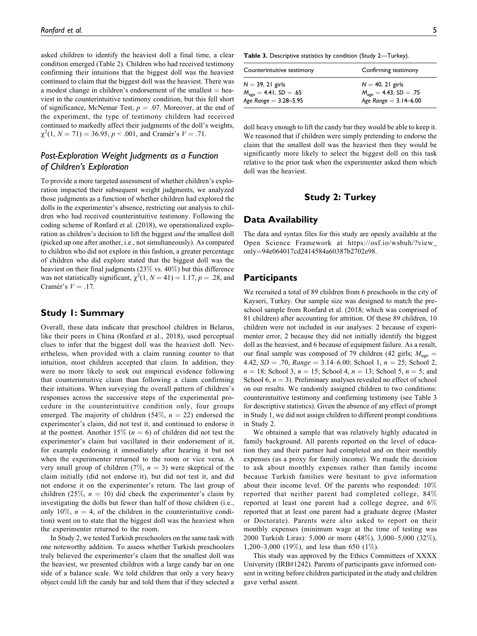asked children to identify the heaviest doll a final time, a clear condition emerged (Table 2). Children who had received testimony confirming their intuitions that the biggest doll was the heaviest continued to claim that the biggest doll was the heaviest. There was a modest change in children's endorsement of the smallest  $=$  heaviest in the counterintuitive testimony condition, but this fell short of significance, McNemar Test,  $p = .07$ . Moreover, at the end of the experiment, the type of testimony children had received continued to markedly affect their judgments of the doll's weights,  $\chi^2(1, N = 71) = 36.95, p < .001$ , and Cramér's  $V = .71$ .

# Post-Exploration Weight Judgments as a Function of Children's Exploration

To provide a more targeted assessment of whether children's exploration impacted their subsequent weight judgments, we analyzed those judgments as a function of whether children had explored the dolls in the experimenter's absence, restricting our analysis to children who had received counterintuitive testimony. Following the coding scheme of Ronfard et al. (2018), we operationalized exploration as children's decision to lift the biggest and the smallest doll (picked up one after another, i.e., not simultaneously). As compared to children who did not explore in this fashion, a greater percentage of children who did explore stated that the biggest doll was the heaviest on their final judgments (23% vs. 40%) but this difference was not statistically significant,  $\chi^2(1, N = 41) = 1.17, p = .28$ , and Cramér's  $V = .17$ .

# Study 1: Summary

Overall, these data indicate that preschool children in Belarus, like their peers in China (Ronfard et al., 2018), used perceptual clues to infer that the biggest doll was the heaviest doll. Nevertheless, when provided with a claim running counter to that intuition, most children accepted that claim. In addition, they were no more likely to seek out empirical evidence following that counterintuitive claim than following a claim confirming their intuitions. When surveying the overall pattern of children's responses across the successive steps of the experimental procedure in the counterintuitive condition only, four groups emerged. The majority of children (54%,  $n = 22$ ) endorsed the experimenter's claim, did not test it, and continued to endorse it at the posttest. Another 15% ( $n = 6$ ) of children did not test the experimenter's claim but vacillated in their endorsement of it, for example endorsing it immediately after hearing it but not when the experimenter returned to the room or vice versa. A very small group of children (7%,  $n = 3$ ) were skeptical of the claim initially (did not endorse it), but did not test it, and did not endorse it on the experimenter's return. The last group of children (25%,  $n = 10$ ) did check the experimenter's claim by investigating the dolls but fewer than half of those children (i.e., only 10%,  $n = 4$ , of the children in the counterintuitive condition) went on to state that the biggest doll was the heaviest when the experimenter returned to the room.

In Study 2, we tested Turkish preschoolers on the same task with one noteworthy addition. To assess whether Turkish preschoolers truly believed the experimenter's claim that the smallest doll was the heaviest, we presented children with a large candy bar on one side of a balance scale. We told children that only a very heavy object could lift the candy bar and told them that if they selected a

Table 3. Descriptive statistics by condition (Study 2—Turkey).

| Counterintuitive testimony                                                           | Confirming testimony                                                                   |
|--------------------------------------------------------------------------------------|----------------------------------------------------------------------------------------|
| $N = 39, 21$ girls<br>$M_{\text{age}} = 4.41, SD = .65$<br>Age Range = $3.28 - 5.95$ | $N = 40$ , 21 girls<br>$M_{\text{age}} = 4.43$ , SD = .75<br>Age Range = $3.14 - 6.00$ |

doll heavy enough to lift the candy bar they would be able to keep it. We reasoned that if children were simply pretending to endorse the claim that the smallest doll was the heaviest then they would be significantly more likely to select the biggest doll on this task relative to the prior task when the experimenter asked them which doll was the heaviest.

# Study 2: Turkey

### Data Availability

The data and syntax files for this study are openly available at the Open Science Framework at [https://osf.io/wsbuh/?view\\_](https://osf.io/wsbuh/?view_only=94e064017cd2414584a60387b2702e98) [only](https://osf.io/wsbuh/?view_only=94e064017cd2414584a60387b2702e98)¼[94e064017cd2414584a60387b2702e98.](https://osf.io/wsbuh/?view_only=94e064017cd2414584a60387b2702e98)

#### **Participants**

We recruited a total of 89 children from 6 preschools in the city of Kayseri, Turkey. Our sample size was designed to match the preschool sample from Ronfard et al. (2018; which was comprised of 81 children) after accounting for attrition. Of these 89 children, 10 children were not included in our analyses: 2 because of experimenter error, 2 because they did not initially identify the biggest doll as the heaviest, and 6 because of equipment failure. As a result, our final sample was composed of 79 children (42 girls;  $M_{\text{age}} =$ 4.42,  $SD = .70$ , Range = 3.14–6.00; School 1,  $n = 25$ ; School 2,  $n = 18$ ; School 3,  $n = 15$ ; School 4,  $n = 13$ ; School 5,  $n = 5$ ; and School 6,  $n = 3$ ). Preliminary analyses revealed no effect of school on our results. We randomly assigned children to two conditions: counterintuitive testimony and confirming testimony (see Table 3 for descriptive statistics). Given the absence of any effect of prompt in Study 1, we did not assign children to different prompt conditions in Study 2.

We obtained a sample that was relatively highly educated in family background. All parents reported on the level of education they and their partner had completed and on their monthly expenses (as a proxy for family income). We made the decision to ask about monthly expenses rather than family income because Turkish families were hesitant to give information about their income level. Of the parents who responded: 10% reported that neither parent had completed college, 84% reported at least one parent had a college degree, and 6% reported that at least one parent had a graduate degree (Master or Doctorate). Parents were also asked to report on their monthly expenses (minimum wage at the time of testing was 2000 Turkish Liras): 5,000 or more (48%), 3,000–5,000 (32%), 1,200–3,000 (19%), and less than 650 (1%).

This study was approved by the Ethics Committees of XXXX University (IRB#1242). Parents of participants gave informed consent in writing before children participated in the study and children gave verbal assent.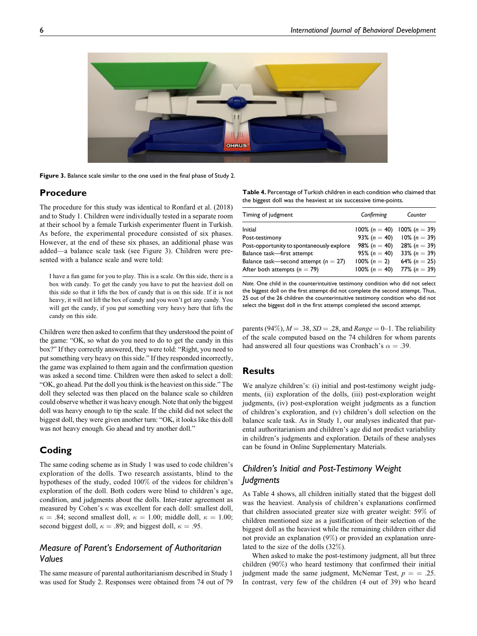

Figure 3. Balance scale similar to the one used in the final phase of Study 2.

### Procedure

The procedure for this study was identical to Ronfard et al. (2018) and to Study 1. Children were individually tested in a separate room at their school by a female Turkish experimenter fluent in Turkish. As before, the experimental procedure consisted of six phases. However, at the end of these six phases, an additional phase was added—a balance scale task (see Figure 3). Children were presented with a balance scale and were told:

I have a fun game for you to play. This is a scale. On this side, there is a box with candy. To get the candy you have to put the heaviest doll on this side so that it lifts the box of candy that is on this side. If it is not heavy, it will not lift the box of candy and you won't get any candy. You will get the candy, if you put something very heavy here that lifts the candy on this side.

Children were then asked to confirm that they understood the point of the game: "OK, so what do you need to do to get the candy in this box?" If they correctly answered, they were told: "Right, you need to put something very heavy on this side." If they responded incorrectly, the game was explained to them again and the confirmation question was asked a second time. Children were then asked to select a doll: "OK, go ahead. Put the doll you think is the heaviest on this side." The doll they selected was then placed on the balance scale so children could observe whether it was heavy enough. Note that only the biggest doll was heavy enough to tip the scale. If the child did not select the biggest doll, they were given another turn: "OK, it looks like this doll was not heavy enough. Go ahead and try another doll."

# Coding

The same coding scheme as in Study 1 was used to code children's exploration of the dolls. Two research assistants, blind to the hypotheses of the study, coded 100% of the videos for children's exploration of the doll. Both coders were blind to children's age, condition, and judgments about the dolls. Inter-rater agreement as measured by Cohen's  $\kappa$  was excellent for each doll: smallest doll,  $\kappa = .84$ ; second smallest doll,  $\kappa = 1.00$ ; middle doll,  $\kappa = 1.00$ ; second biggest doll,  $\kappa = .89$ ; and biggest doll,  $\kappa = .95$ .

# Measure of Parent's Endorsement of Authoritarian Values

The same measure of parental authoritarianism described in Study 1 was used for Study 2. Responses were obtained from 74 out of 79

Table 4. Percentage of Turkish children in each condition who claimed that the biggest doll was the heaviest at six successive time-points.

| Confirming       | Counter          |
|------------------|------------------|
| $100\%$ (n = 40) | $100\% (n = 39)$ |
| 93% ( $n = 40$ ) | $10\%$ (n = 39)  |
| 98% ( $n = 40$ ) | 28% ( $n = 39$ ) |
| 95% ( $n = 40$ ) | 33% ( $n = 39$ ) |
| $100\% (n = 2)$  | 64% ( $n = 25$ ) |
| $100\%$ (n = 40) | 77% ( $n = 39$ ) |
|                  |                  |

Note. One child in the counterintuitive testimony condition who did not select the biggest doll on the first attempt did not complete the second attempt. Thus, 25 out of the 26 children the counterintuitive testimony condition who did not select the biggest doll in the first attempt completed the second attempt.

parents (94%),  $M = .38$ ,  $SD = .28$ , and  $Range = 0-1$ . The reliability of the scale computed based on the 74 children for whom parents had answered all four questions was Cronbach's  $\alpha = .39$ .

### **Results**

We analyze children's: (i) initial and post-testimony weight judgments, (ii) exploration of the dolls, (iii) post-exploration weight judgments, (iv) post-exploration weight judgments as a function of children's exploration, and (v) children's doll selection on the balance scale task. As in Study 1, our analyses indicated that parental authoritarianism and children's age did not predict variability in children's judgments and exploration. Details of these analyses can be found in Online Supplementary Materials.

# Children's Initial and Post-Testimony Weight Judgments

As Table 4 shows, all children initially stated that the biggest doll was the heaviest. Analysis of children's explanations confirmed that children associated greater size with greater weight: 59% of children mentioned size as a justification of their selection of the biggest doll as the heaviest while the remaining children either did not provide an explanation (9%) or provided an explanation unrelated to the size of the dolls (32%).

When asked to make the post-testimony judgment, all but three children (90%) who heard testimony that confirmed their initial judgment made the same judgment, McNemar Test,  $p = 0.25$ . In contrast, very few of the children (4 out of 39) who heard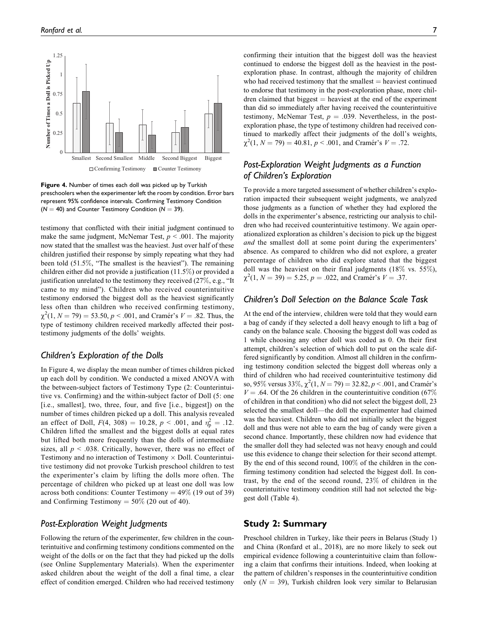

Figure 4. Number of times each doll was picked up by Turkish preschoolers when the experimenter left the room by condition. Error bars represent 95% confidence intervals. Confirming Testimony Condition  $(N = 40)$  and Counter Testimony Condition ( $N = 39$ ).

testimony that conflicted with their initial judgment continued to make the same judgment, McNemar Test,  $p < .001$ . The majority now stated that the smallest was the heaviest. Just over half of these children justified their response by simply repeating what they had been told (51.5%, "The smallest is the heaviest"). The remaining children either did not provide a justification (11.5%) or provided a justification unrelated to the testimony they received (27%, e.g., "It came to my mind"). Children who received counterintuitive testimony endorsed the biggest doll as the heaviest significantly less often than children who received confirming testimony,  $\chi^2(1, N = 79) = 53.50, p < .001$ , and Cramér's  $V = .82$ . Thus, the type of testimony children received markedly affected their posttestimony judgments of the dolls' weights.

### Children's Exploration of the Dolls

In Figure 4, we display the mean number of times children picked up each doll by condition. We conducted a mixed ANOVA with the between-subject factors of Testimony Type (2: Counterintuitive vs. Confirming) and the within-subject factor of Doll (5: one [i.e., smallest], two, three, four, and five [i.e., biggest]) on the number of times children picked up a doll. This analysis revealed an effect of Doll,  $F(4, 308) = 10.28$ ,  $p < .001$ , and  $\eta_p^2 = .12$ . Children lifted the smallest and the biggest dolls at equal rates but lifted both more frequently than the dolls of intermediate sizes, all  $p < .038$ . Critically, however, there was no effect of Testimony and no interaction of Testimony  $\times$  Doll. Counterintuitive testimony did not provoke Turkish preschool children to test the experimenter's claim by lifting the dolls more often. The percentage of children who picked up at least one doll was low across both conditions: Counter Testimony =  $49\%$  (19 out of 39) and Confirming Testimony  $= 50\%$  (20 out of 40).

#### Post-Exploration Weight Judgments

Following the return of the experimenter, few children in the counterintuitive and confirming testimony conditions commented on the weight of the dolls or on the fact that they had picked up the dolls (see Online Supplementary Materials). When the experimenter asked children about the weight of the doll a final time, a clear effect of condition emerged. Children who had received testimony confirming their intuition that the biggest doll was the heaviest continued to endorse the biggest doll as the heaviest in the postexploration phase. In contrast, although the majority of children who had received testimony that the smallest  $=$  heaviest continued to endorse that testimony in the post-exploration phase, more children claimed that biggest  $=$  heaviest at the end of the experiment than did so immediately after having received the counterintuitive testimony, McNemar Test,  $p = .039$ . Nevertheless, in the postexploration phase, the type of testimony children had received continued to markedly affect their judgments of the doll's weights,  $\chi^2(1, N = 79) = 40.81, p < .001$ , and Cramér's  $V = .72$ .

# Post-Exploration Weight Judgments as a Function of Children's Exploration

To provide a more targeted assessment of whether children's exploration impacted their subsequent weight judgments, we analyzed those judgments as a function of whether they had explored the dolls in the experimenter's absence, restricting our analysis to children who had received counterintuitive testimony. We again operationalized exploration as children's decision to pick up the biggest and the smallest doll at some point during the experimenters' absence. As compared to children who did not explore, a greater percentage of children who did explore stated that the biggest doll was the heaviest on their final judgments (18% vs. 55%),  $\chi^2(1, N = 39) = 5.25, p = .022$ , and Cramér's  $V = .37$ .

### Children's Doll Selection on the Balance Scale Task

At the end of the interview, children were told that they would earn a bag of candy if they selected a doll heavy enough to lift a bag of candy on the balance scale. Choosing the biggest doll was coded as 1 while choosing any other doll was coded as 0. On their first attempt, children's selection of which doll to put on the scale differed significantly by condition. Almost all children in the confirming testimony condition selected the biggest doll whereas only a third of children who had received counterintuitive testimony did so, 95% versus 33%,  $\chi^2(1, N = 79) = 32.82, p < .001$ , and Cramér's  $V = .64$ . Of the 26 children in the counterintuitive condition (67%) of children in that condition) who did not select the biggest doll, 23 selected the smallest doll—the doll the experimenter had claimed was the heaviest. Children who did not initially select the biggest doll and thus were not able to earn the bag of candy were given a second chance. Importantly, these children now had evidence that the smaller doll they had selected was not heavy enough and could use this evidence to change their selection for their second attempt. By the end of this second round, 100% of the children in the confirming testimony condition had selected the biggest doll. In contrast, by the end of the second round, 23% of children in the counterintuitive testimony condition still had not selected the biggest doll (Table 4).

# Study 2: Summary

Preschool children in Turkey, like their peers in Belarus (Study 1) and China (Ronfard et al., 2018), are no more likely to seek out empirical evidence following a counterintuitive claim than following a claim that confirms their intuitions. Indeed, when looking at the pattern of children's responses in the counterintuitive condition only  $(N = 39)$ , Turkish children look very similar to Belarusian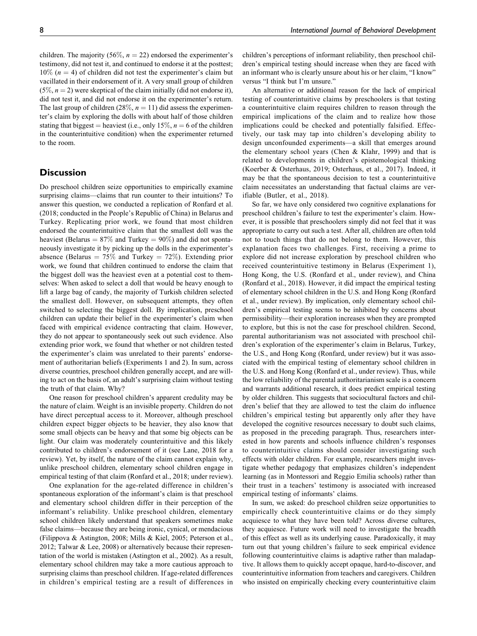children. The majority (56%,  $n = 22$ ) endorsed the experimenter's testimony, did not test it, and continued to endorse it at the posttest;  $10\%$  ( $n = 4$ ) of children did not test the experimenter's claim but vacillated in their endorsement of it. A very small group of children  $(5\%, n=2)$  were skeptical of the claim initially (did not endorse it), did not test it, and did not endorse it on the experimenter's return. The last group of children (28%,  $n = 11$ ) did assess the experimenter's claim by exploring the dolls with about half of those children stating that biggest = heaviest (i.e., only 15%,  $n = 6$  of the children in the counterintuitive condition) when the experimenter returned to the room.

### **Discussion**

Do preschool children seize opportunities to empirically examine surprising claims—claims that run counter to their intuitions? To answer this question, we conducted a replication of Ronfard et al. (2018; conducted in the People's Republic of China) in Belarus and Turkey. Replicating prior work, we found that most children endorsed the counterintuitive claim that the smallest doll was the heaviest (Belarus  $= 87\%$  and Turkey  $= 90\%$ ) and did not spontaneously investigate it by picking up the dolls in the experimenter's absence (Belarus =  $75\%$  and Turkey =  $72\%$ ). Extending prior work, we found that children continued to endorse the claim that the biggest doll was the heaviest even at a potential cost to themselves: When asked to select a doll that would be heavy enough to lift a large bag of candy, the majority of Turkish children selected the smallest doll. However, on subsequent attempts, they often switched to selecting the biggest doll. By implication, preschool children can update their belief in the experimenter's claim when faced with empirical evidence contracting that claim. However, they do not appear to spontaneously seek out such evidence. Also extending prior work, we found that whether or not children tested the experimenter's claim was unrelated to their parents' endorsement of authoritarian beliefs (Experiments 1 and 2). In sum, across diverse countries, preschool children generally accept, and are willing to act on the basis of, an adult's surprising claim without testing the truth of that claim. Why?

One reason for preschool children's apparent credulity may be the nature of claim. Weight is an invisible property. Children do not have direct perceptual access to it. Moreover, although preschool children expect bigger objects to be heavier, they also know that some small objects can be heavy and that some big objects can be light. Our claim was moderately counterintuitive and this likely contributed to children's endorsement of it (see Lane, 2018 for a review). Yet, by itself, the nature of the claim cannot explain why, unlike preschool children, elementary school children engage in empirical testing of that claim (Ronfard et al., 2018; under review).

One explanation for the age-related difference in children's spontaneous exploration of the informant's claim is that preschool and elementary school children differ in their perception of the informant's reliability. Unlike preschool children, elementary school children likely understand that speakers sometimes make false claims—because they are being ironic, cynical, or mendacious (Filippova & Astington, 2008; Mills & Kiel, 2005; Peterson et al., 2012; Talwar & Lee, 2008) or alternatively because their representation of the world is mistaken (Astington et al., 2002). As a result, elementary school children may take a more cautious approach to surprising claims than preschool children. If age-related differences in children's empirical testing are a result of differences in children's perceptions of informant reliability, then preschool children's empirical testing should increase when they are faced with an informant who is clearly unsure about his or her claim, "I know" versus "I think but I'm unsure."

An alternative or additional reason for the lack of empirical testing of counterintuitive claims by preschoolers is that testing a counterintuitive claim requires children to reason through the empirical implications of the claim and to realize how those implications could be checked and potentially falsified. Effectively, our task may tap into children's developing ability to design unconfounded experiments—a skill that emerges around the elementary school years (Chen & Klahr, 1999) and that is related to developments in children's epistemological thinking (Koerber & Osterhaus, 2019; Osterhaus, et al., 2017). Indeed, it may be that the spontaneous decision to test a counterintuitive claim necessitates an understanding that factual claims are verifiable (Butler, et al., 2018).

So far, we have only considered two cognitive explanations for preschool children's failure to test the experimenter's claim. However, it is possible that preschoolers simply did not feel that it was appropriate to carry out such a test. After all, children are often told not to touch things that do not belong to them. However, this explanation faces two challenges. First, receiving a prime to explore did not increase exploration by preschool children who received counterintuitive testimony in Belarus (Experiment 1), Hong Kong, the U.S. (Ronfard et al., under review), and China (Ronfard et al., 2018). However, it did impact the empirical testing of elementary school children in the U.S. and Hong Kong (Ronfard et al., under review). By implication, only elementary school children's empirical testing seems to be inhibited by concerns about permissibility—their exploration increases when they are prompted to explore, but this is not the case for preschool children. Second, parental authoritarianism was not associated with preschool children's exploration of the experimenter's claim in Belarus, Turkey, the U.S., and Hong Kong (Ronfard, under review) but it was associated with the empirical testing of elementary school children in the U.S. and Hong Kong (Ronfard et al., under review). Thus, while the low reliability of the parental authoritarianism scale is a concern and warrants additional research, it does predict empirical testing by older children. This suggests that sociocultural factors and children's belief that they are allowed to test the claim do influence children's empirical testing but apparently only after they have developed the cognitive resources necessary to doubt such claims, as proposed in the preceding paragraph. Thus, researchers interested in how parents and schools influence children's responses to counterintuitive claims should consider investigating such effects with older children. For example, researchers might investigate whether pedagogy that emphasizes children's independent learning (as in Montessori and Reggio Emilia schools) rather than their trust in a teachers' testimony is associated with increased empirical testing of informants' claims.

In sum, we asked: do preschool children seize opportunities to empirically check counterintuitive claims or do they simply acquiesce to what they have been told? Across diverse cultures, they acquiesce. Future work will need to investigate the breadth of this effect as well as its underlying cause. Paradoxically, it may turn out that young children's failure to seek empirical evidence following counterintuitive claims is adaptive rather than maladaptive. It allows them to quickly accept opaque, hard-to-discover, and counterintuitive information from teachers and caregivers. Children who insisted on empirically checking every counterintuitive claim